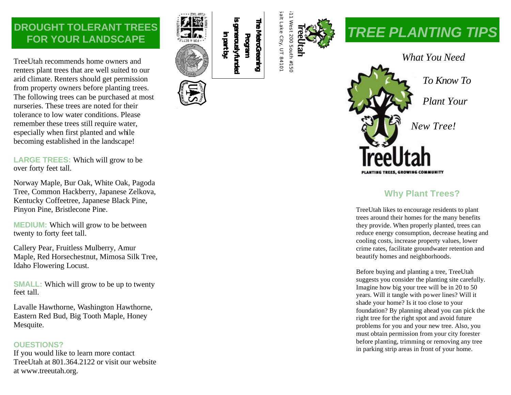## **DROUGHT TOLERANT TREES FOR YOUR LANDSCAPE**

TreeUtah recommends home owners and renters plant trees that are well suited to our arid climate. Renters should get permission from property owners before planting trees. The following trees can be purchased at most nurseries. These trees are noted for their tolerance to low water conditions. Please remember these trees still require water, especially when first planted and while becoming established in the landscape!

**LARGE TREES:** Which will grow to be over forty feet tall.

Norway Maple, Bur Oak, White Oak, Pagoda Tree, Common Hackberry, Japanese Zelkova, Kentucky Coffeetree, Japanese Black Pine, Pinyon Pine, Bristlecone Pine.

**MEDIUM:** Which will grow to be between twenty to forty feet tall.

Callery Pear, Fruitless Mulberry, Amur Maple, Red Horsechestnut, Mimosa Silk Tree, Idaho Flowering Locust.

**SMALL:** Which will grow to be up to twenty feet tall.

Lavalle Hawthorne, Washington Hawthorne, Eastern Red Bud, Big Tooth Maple, Honey Mesquite.

#### **OUESTIONS?**

If you would like to learn more contact Tree Utah at 801.364.2122 or visit our website at www.treeutah.org.





# *TREE PLANTING TIPS*



### **Why Plant Trees?**

TreeUtah likes to encourage residents to plant trees around their homes for the many benefits they provide. When properly planted, trees can reduce energy consumption, decrease heating and cooling costs, increase property values, lower crime rates, facilitate groundwater retention and beautify homes and neighborhoods.

Before buying and planting a tree, TreeUtah suggests you consider the planting site carefully. Imagine how big your tree will be in 20 to 50 years. Will it tangle with power lines? Will it shade your home? Is it too close to your foundation? By planning ahead you can pick the right tree for the right spot and avoid future problems for you and your new tree. Also, you must obtain permission from your city forester before planting, trimming or removing any tree in parking strip areas in front of your home.